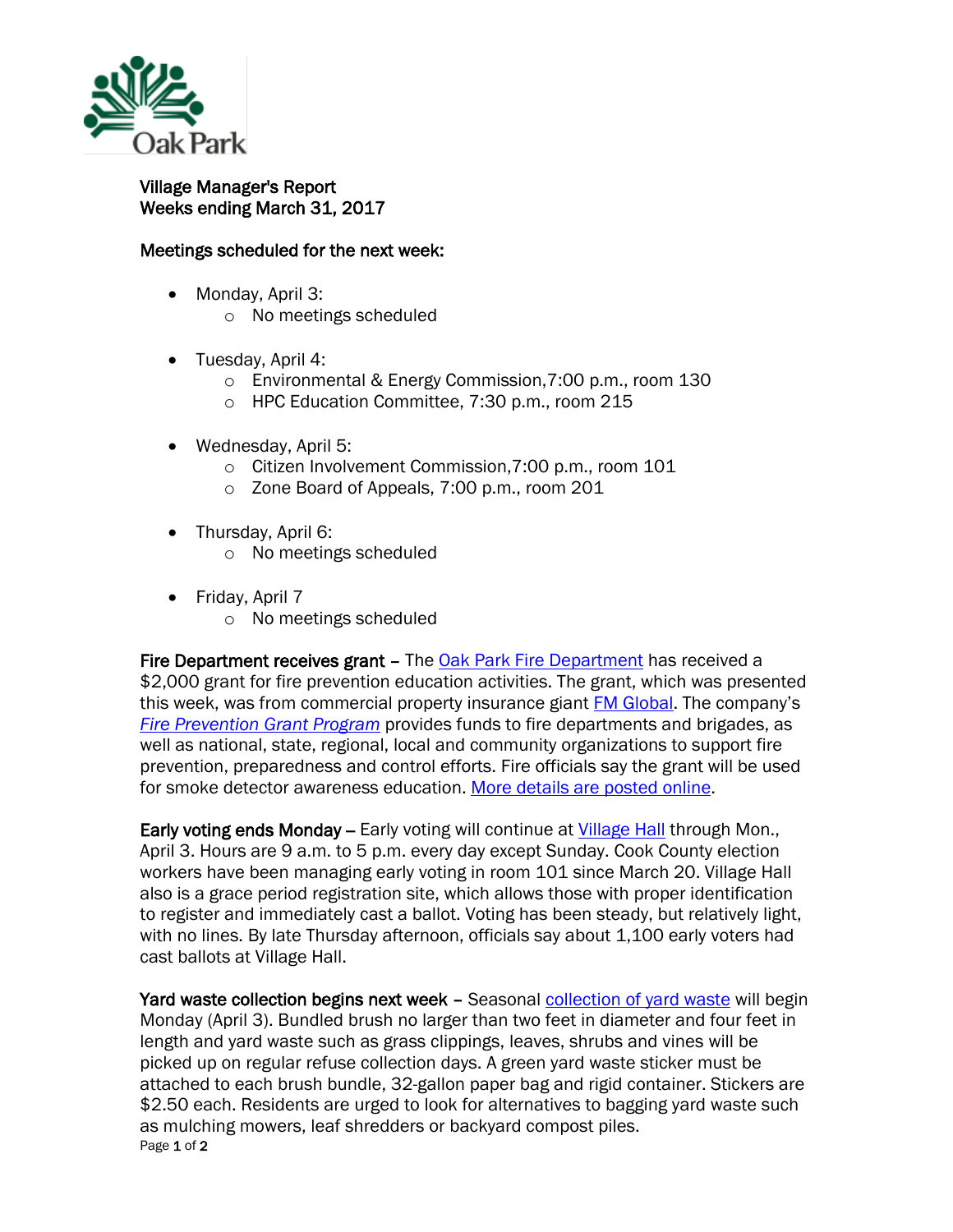

## Village Manager's Report Weeks ending March 31, 2017

## Meetings scheduled for the next week:

- Monday, April 3:
	- o No meetings scheduled
- Tuesday, April 4:
	- o Environmental & Energy Commission,7:00 p.m., room 130
	- o HPC Education Committee, 7:30 p.m., room 215
- Wednesday, April 5:
	- o Citizen Involvement Commission,7:00 p.m., room 101
	- o Zone Board of Appeals, 7:00 p.m., room 201
- Thursday, April 6:
	- o No meetings scheduled
- Friday, April 7
	- o No meetings scheduled

Fire Department receives grant – The **Oak Park Fire Department has received a** \$2,000 grant for fire prevention education activities. The grant, which was presented this week, was from commercial property insurance giant [FM Global.](http://www.fmglobal.com/) The company's *[Fire Prevention Grant Program](http://www.fmglobal.com/about-us/our-business/corporate-responsibility/fm-global-fire-prevention-grant-program)* provides funds to fire departments and brigades, as well as national, state, regional, local and community organizations to support fire prevention, preparedness and control efforts. Fire officials say the grant will be used for smoke detector awareness education. [More details are posted online.](http://www.oak-park.us/news/grant-funding-bolster-fire-prevention-efforts)

Early voting ends Monday – Early voting will continue at [Village Hall](http://www.oak-park.us/your-government/village-manager/village-hall) through Mon., April 3. Hours are 9 a.m. to 5 p.m. every day except Sunday. Cook County election workers have been managing early voting in room 101 since March 20. Village Hall also is a grace period registration site, which allows those with proper identification to register and immediately cast a ballot. Voting has been steady, but relatively light, with no lines. By late Thursday afternoon, officials say about 1,100 early voters had cast ballots at Village Hall.

Page 1 of 2 Yard waste collection begins next week - Seasonal [collection of yard waste](http://www.oak-park.us/newsletters/marchapril-2017/yard-waste-collection-begins-april) will begin Monday (April 3). Bundled brush no larger than two feet in diameter and four feet in length and yard waste such as grass clippings, leaves, shrubs and vines will be picked up on regular refuse collection days. A green yard waste sticker must be attached to each brush bundle, 32-gallon paper bag and rigid container. Stickers are \$2.50 each. Residents are urged to look for alternatives to bagging yard waste such as mulching mowers, leaf shredders or backyard compost piles.